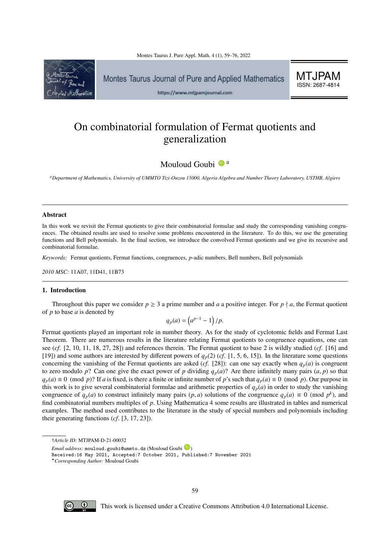

Montes Taurus Journal of Pure and Applied Mathematics

MTJPAM ISSN: 2687-4814

https://www.mtjpamjournal.com

# On combinatorial formulation of Fermat quotients and generalization

Mouloud Goubi  $\mathbb{D}^{\mathsf{a}}$ 

*<sup>a</sup>Department of Mathematics, University of UMMTO Tizi-Ouzou 15000, Algeria Algebra and Number Theory Laboratory, USTHB, Algiers*

#### Abstract

In this work we revisit the Fermat quotients to give their combinatorial formulae and study the corresponding vanishing congruences. The obtained results are used to resolve some problems encountered in the literature. To do this, we use the generating functions and Bell polynomials. In the final section, we introduce the convolved Fermat quotients and we give its recursive and combinatorial formulae.

*Keywords:* Fermat quotients, Fermat functions, congruences, *p*-adic numbers, Bell numbers, Bell polynomials

*2010 MSC:* 11A07, 11D41, 11B73

## 1. Introduction

Throughout this paper we consider  $p \ge 3$  a prime number and *a* a positive integer. For  $p \nmid a$ , the Fermat quotient of *p* to base *a* is denoted by

$$
q_p(a) = \left(a^{p-1} - 1\right) / p.
$$

Fermat quotients played an important role in number theory. As for the study of cyclotomic fields and Fermat Last Theorem. There are numerous results in the literature relating Fermat quotients to congruence equations, one can see (*cf*. [\[2,](#page-17-1) [10,](#page-17-2) [11,](#page-17-3) [18,](#page-17-4) [27,](#page-17-5) [28\]](#page-17-6)) and references therein. The Fermat quotient to base 2 is wildly studied (*cf*. [\[16\]](#page-17-7) and [\[19\]](#page-17-8)) and some authors are interested by different powers of  $q_p(2)$  (*cf*. [\[1,](#page-17-9) [5,](#page-17-10) [6,](#page-17-11) [15\]](#page-17-12)). In the literature some questions concerning the vanishing of the Fermat quotients are asked (*cf*. [\[28\]](#page-17-6)): can one say exactly when  $q_p(a)$  is congruent to zero modulo  $p$ ? Can one give the exact power of  $p$  dividing  $q_p(a)$ ? Are there infinitely many pairs  $(a, p)$  so that  $q_p(a) \equiv 0 \pmod{p}$ ? If *a* is fixed, is there a finite or infinite number of *p*'s such that  $q_p(a) \equiv 0 \pmod{p}$ . Our purpose in this work is to give several combinatorial formulae and arithmetic properties of  $q_p(a)$  in order to study the vanishing congruence of  $q_p(a)$  to construct infinitely many pairs  $(p, a)$  solutions of the congruence  $q_p(a) \equiv 0 \pmod{p^k}$ , and  $p^k$ , and  $p^k$  and  $p^k$  and  $p^k$  and  $p^k$  and  $p^k$  and  $p^k$  and  $p^k$  and  $p^k$  and  $p^k$  and  $p^k$ find combinatorial numbers multiples of *<sup>p</sup>*. Using Mathematica 4 some results are illustrated in tables and numerical examples. The method used contributes to the literature in the study of special numbers and polynomials including their generating functions (*cf*. [\[3,](#page-17-13) [17,](#page-17-14) [23\]](#page-17-15)).



This work is licensed under a Creative Commons Attribution 4.0 International License.

<sup>†</sup>*Article ID:* MTJPAM-D-21-00032

*Email address:* mouloud.goubi@ummto.dz (Mouloud Goubi <sup>1</sup>2)

Received:16 May 2021, Accepted:7 October 2021, Published:7 November 2021

<sup>?</sup>*Corresponding Author:* Mouloud Goubi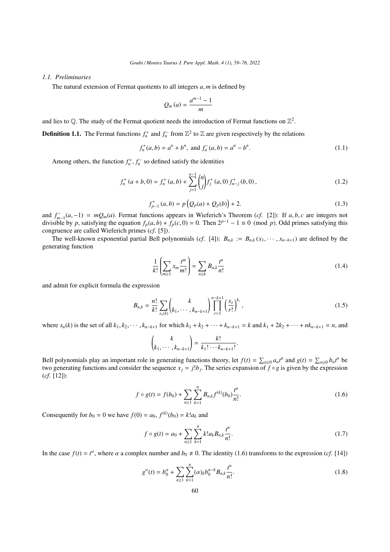## *1.1. Preliminaries*

The natural extension of Fermat quotients to all integers *<sup>a</sup>*, *<sup>m</sup>* is defined by

$$
Q_m\left(a\right)=\frac{a^{m-1}-1}{m}
$$

and lies to Q. The study of the Fermat quotient needs the introduction of Fermat functions on  $\mathbb{Z}^2$ 

**Definition 1.1.** The Fermat functions  $f_n^+$  and  $f_n^-$  from  $\mathbb{Z}^2$  to  $\mathbb{Z}$  are given respectively by the relations

$$
f_n^+(a,b) = a^n + b^n, \text{ and } f_n^-(a,b) = a^n - b^n. \tag{1.1}
$$

Among others, the function  $f_n^+$ ,  $f_n^-$  so defined satisfy the identities

$$
f_n^+(a+b,0) = f_n^+(a,b) + \sum_{j=1}^{n-1} {n \choose j} f_j^+(a,0) f_{n-j}^+(b,0),
$$
 (1.2)

$$
f_{p-1}^{+}(a,b) = p\left(Q_p(a) + Q_p(b)\right) + 2.
$$
\n(1.3)

and  $f_{m-1}^-(a, -1) = mQ_m(a)$ . Fermat functions appears in Wieferich's Theorem (*cf.* [\[2\]](#page-17-1)): If *a*, *b*, *c* are integers not divisible by *n* satisfying the equation  $f(a, b) + f(c, 0) = 0$ . Then  $2^{p-1} - 1 = 0$  (mod *n*). Odd prim divisible by *p*, satisfying the equation  $f_p(a, b) + f_p(c, 0) = 0$ . Then  $2^{p-1} - 1 \equiv 0 \pmod{p}$ . Odd primes satisfying this congruence are called Wieferich primes (*cf*. [\[5\]](#page-17-10)).

The well-known exponential partial Bell polynomials (*cf.* [\[4\]](#page-17-16)):  $B_{n,k} := B_{n,k}(x_1, \dots, x_{n-k+1})$  are defined by the generating function

$$
\frac{1}{k!} \left( \sum_{m \ge 1} x_m \frac{t^m}{m!} \right) = \sum_{n \ge k} B_{n,k} \frac{t^n}{n!}
$$
\n(1.4)

and admit for explicit formula the expression

$$
B_{n,k} = \frac{n!}{k!} \sum_{s_n(k)} \binom{k}{k_1, \cdots, k_{n-k+1}} \prod_{r=1}^{n-k+1} \left(\frac{x_r}{r!}\right)^{k_r},\tag{1.5}
$$

where  $s_n(k)$  is the set of all  $k_1, k_2, \dots, k_{n-k+1}$  for which  $k_1 + k_2 + \dots + k_{n-k+1} = k$  and  $k_1 + 2k_2 + \dots + nk_{n-k+1} = n$ , and

$$
\binom{k}{k_1,\cdots,k_{n-k+1}}=\frac{k!}{k_1!\cdots k_{n-k+1}!}
$$

Bell polynomials play an important role in generating functions theory, let  $f(t) = \sum_{n\geq 0} a_n t^n$  and  $g(t) = \sum_{n\geq 0} b_n t^n$  be two generating functions and consider the sequence  $x_j = j!b_j$ . The series expansion of  $f \circ g$  is given by the expression  $(cf \in [12])$ . (*cf*. [\[12\]](#page-17-17)):

<span id="page-1-0"></span>
$$
f \circ g(t) = f(b_0) + \sum_{n \ge 1} \sum_{k=1}^{n} B_{n,k} f^{(k)}(b_0) \frac{t^n}{n!}.
$$
 (1.6)

Consequently for  $b_0 = 0$  we have  $f(0) = a_0, f^{(k)}(b_0) = k!a_k$  and

$$
f \circ g(t) = a_0 + \sum_{n \ge 1} \sum_{k=1}^n k! a_k B_{n,k} \frac{t^n}{n!}.
$$
 (1.7)

In the case  $f(t) = t^{\alpha}$ , where  $\alpha$  a complex number and  $b_0 \neq 0$ . The identity [\(1.6\)](#page-1-0) transforms to the expression (*cf*. [\[14\]](#page-17-18))

<span id="page-1-1"></span>
$$
g^{a}(t) = b_0^{a} + \sum_{n \ge 1} \sum_{k=1}^{n} (\alpha)_{k} b_0^{a-k} B_{n,k} \frac{t^{n}}{n!}.
$$
 (1.8)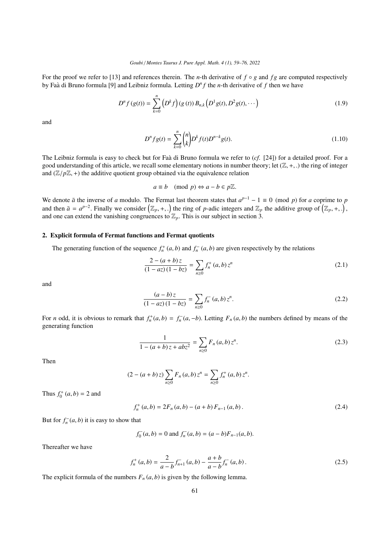For the proof we refer to [\[13\]](#page-17-19) and references therein. The *n*-th derivative of  $f \circ g$  and  $fg$  are computed respectively by Faà di Bruno formula [\[9\]](#page-17-20) and Leibniz formula. Letting  $D^n f$  the *n*-th derivative of f then we have

$$
D^{n} f(g(t)) = \sum_{k=0}^{n} (D^{k} f)(g(t)) B_{n,k} (D^{1} g(t), D^{2} g(t), \cdots)
$$
 (1.9)

and

$$
D^n f g(t) = \sum_{k=0}^n \binom{n}{k} D^k f(t) D^{n-k} g(t).
$$
\n(1.10)

The Leibniz formula is easy to check but for Faa di Bruno formula we refer to  $(cf. [24])$  $(cf. [24])$  $(cf. [24])$  for a detailed proof. For a good understanding of this article, we recall some elementary notions in number theory; let  $(\mathbb{Z}, +, \cdot)$  the ring of integer and  $(\mathbb{Z}/p\mathbb{Z}, +)$  the additive quotient group obtained via the equivalence relation

$$
a \equiv b \pmod{p} \Leftrightarrow a - b \in p\mathbb{Z}.
$$

We denote  $\bar{a}$  the inverse of *a* modulo. The Fermat last theorem states that  $a^{p-1} - 1 \equiv 0 \pmod{p}$  for *a* coprime to *p* and then  $\bar{a} = a^{p-2}$ . Finally we consider  $(\mathbb{Z}_p, +,.)$  the ring of p-adic integers and  $\mathbb{Z}_p$  the additive group of  $(\mathbb{Z}_p, +,.)$ , and one can extend the vanishing congruences to  $\mathbb{Z}_p$ . This is our subject in s

#### 2. Explicit formula of Fermat functions and Fermat quotients

The generating function of the sequence  $f_n^+(a, b)$  and  $f_n^-(a, b)$  are given respectively by the relations

$$
\frac{2 - (a+b)z}{(1 - az)(1 - bz)} = \sum_{n \ge 0} f_n^+(a, b) z^n
$$
\n(2.1)

and

<span id="page-2-0"></span>
$$
\frac{(a-b)z}{(1-az)(1-bz)} = \sum_{n\geq 0} f_n^-(a,b)z^n.
$$
\n(2.2)

For *n* odd, it is obvious to remark that  $f_n^+(a, b) = f_n^-(a, -b)$ . Letting  $F_n(a, b)$  the numbers defined by means of the generating function generating function

$$
\frac{1}{1 - (a+b)z + abz^2} = \sum_{n \ge 0} F_n(a,b) z^n.
$$
 (2.3)

Then

$$
(2 - (a + b) z) \sum_{n \ge 0} F_n(a, b) z^n = \sum_{n \ge 0} f_n^+(a, b) z^n.
$$

Thus  $f_0^+(a, b) = 2$  and

$$
f_n^+(a,b) = 2F_n(a,b) - (a+b) F_{n-1}(a,b).
$$
 (2.4)

But for  $f_n^-(a, b)$  it is easy to show that

$$
f_0^-(a, b) = 0
$$
 and  $f_n^-(a, b) = (a - b)F_{n-1}(a, b)$ .

Thereafter we have

$$
f_n^+(a,b) = \frac{2}{a-b} f_{n+1}^-(a,b) - \frac{a+b}{a-b} f_n^-(a,b).
$$
 (2.5)

The explicit formula of the numbers  $F_n(a, b)$  is given by the following lemma.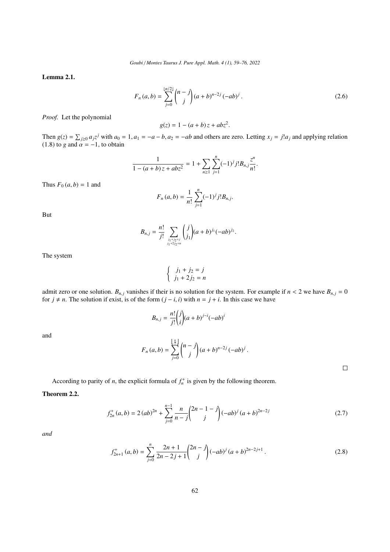Lemma 2.1.

$$
F_n(a,b) = \sum_{j=0}^{\lfloor n/2 \rfloor} {n-j \choose j} (a+b)^{n-2j} (-ab)^j.
$$
 (2.6)

*Proof.* Let the polynomial

$$
g(z) = 1 - (a+b)z + abz^2
$$

Then  $g(z) = \sum_{j\geq 0} a_j z^j$  with  $a_0 = 1$ ,  $a_1 = -a - b$ ,  $a_2 = -ab$  and others are zero. Letting  $x_j = j! a_j$  and applying relation (1.8) to a and  $\alpha = -1$ , to obtain [\(1.8\)](#page-1-1) to *g* and  $\alpha = -1$ , to obtain

$$
\frac{1}{1-(a+b)z+abz^2}=1+\sum_{n\geq 1}\sum_{j=1}^n(-1)^j j!B_{n,j}\frac{z^n}{n!}.
$$

Thus  $F_0(a, b) = 1$  and

$$
F_n(a,b) = \frac{1}{n!} \sum_{j=1}^n (-1)^j j! B_{n,j}.
$$

But

$$
B_{n,j} = \frac{n!}{j!} \sum_{\substack{j_1+j_2=j \ j_1+j_2=j}} \binom{j}{j_1} (a+b)^{j_1} (-ab)^{j_2}.
$$

The system

$$
\begin{cases} j_1 + j_2 = j \\ j_1 + 2j_2 = n \end{cases}
$$

admit zero or one solution.  $B_{n,j}$  vanishes if their is no solution for the system. For example if  $n < 2$  we have  $B_{n,j} = 0$ for  $j \neq n$ . The solution if exist, is of the form  $(j - i, i)$  with  $n = j + i$ . In this case we have

$$
B_{n,j} = \frac{n!}{j!} {j \choose i} (a+b)^{j-i} (-ab)^i
$$

and

$$
F_n(a,b) = \sum_{j=0}^{\lfloor \frac{n}{2} \rfloor} {n-j \choose j} (a+b)^{n-2j} (-ab)^j.
$$

According to parity of *n*, the explicit formula of  $f_n^+$  is given by the following theorem.

## Theorem 2.2.

$$
f_{2n}^+(a,b) = 2(ab)^{2n} + \sum_{j=0}^{n-1} \frac{n}{n-j} {2n-1-j \choose j} (-ab)^j (a+b)^{2n-2j}
$$
 (2.7)

*and*

$$
f_{2n+1}^{+}(a,b) = \sum_{j=0}^{n} \frac{2n+1}{2n-2j+1} {2n-j \choose j} (-ab)^{j} (a+b)^{2n-2j+1}.
$$
 (2.8)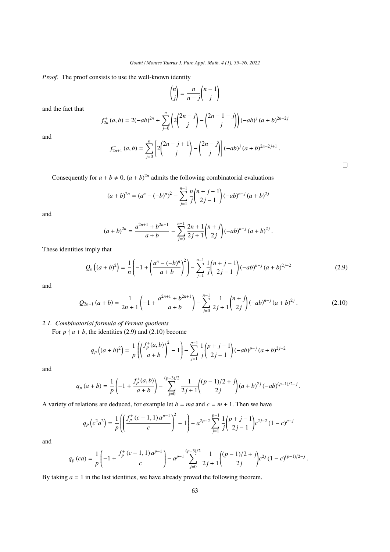*Proof.* The proof consists to use the well-known identity

$$
\binom{n}{j} = \frac{n}{n-j} \binom{n-1}{j}
$$

and the fact that

$$
f_{2n}^{+}(a,b) = 2(-ab)^{2n} + \sum_{j=0}^{n} \left( 2\binom{2n-j}{j} - \binom{2n-1-j}{j} \right) (-ab)^{j} (a+b)^{2n-2j}
$$

and

$$
f_{2n+1}^{+}\left(a,b\right)=\sum_{j=0}^{n}\left[2\binom{2n-j+1}{j}-\binom{2n-j}{j}\right](-ab)^{j}\left(a+b\right)^{2n-2j+1}
$$

Consequently for  $a + b \neq 0$ ,  $(a + b)^{2n}$  admits the following combinatorial evaluations

$$
(a+b)^{2n} = (a^{n} - (-b)^{n})^{2} - \sum_{j=1}^{n-1} \frac{n}{j} {n+j-1 \choose 2j-1} (-ab)^{n-j} (a+b)^{2j}
$$

and

$$
(a+b)^{2n} = \frac{a^{2n+1} + b^{2n+1}}{a+b} - \sum_{j=0}^{n-1} \frac{2n+1}{2j+1} {n+j \choose 2j} (-ab)^{n-j} (a+b)^{2j}
$$

These identities imply that

<span id="page-4-0"></span>
$$
Q_n\left((a+b)^2\right) = \frac{1}{n} \left(-1 + \left(\frac{a^n - (-b)^n}{a+b}\right)^2\right) - \sum_{j=1}^{n-1} \frac{1}{j} {n+j-1 \choose 2j-1} (-ab)^{n-j} (a+b)^{2j-2}
$$
(2.9)

 $\Box$ 

and

<span id="page-4-1"></span>
$$
Q_{2n+1}(a+b) = \frac{1}{2n+1} \left( -1 + \frac{a^{2n+1} + b^{2n+1}}{a+b} \right) - \sum_{j=0}^{n-1} \frac{1}{2j+1} {n+j \choose 2j} (-ab)^{n-j} (a+b)^{2j}.
$$
 (2.10)

*2.1. Combinatorial formula of Fermat quotients*

For  $p \nmid a + b$ , the identities [\(2.9\)](#page-4-0) and [\(2.10\)](#page-4-1) become

$$
q_p\left((a+b)^2\right) = \frac{1}{p}\left(\left(\frac{f_p^+(a,b)}{a+b}\right)^2 - 1\right) - \sum_{j=1}^{p-1} \frac{1}{j}\binom{p+j-1}{2j-1}(-ab)^{p-j}\left(a+b\right)^{2j-2}
$$

and

$$
q_p(a+b) = \frac{1}{p} \left(-1 + \frac{f_p^+(a,b)}{a+b}\right) - \sum_{j=0}^{(p-3)/2} \frac{1}{2j+1} \binom{(p-1)/2+j}{2j} (a+b)^{2j} (-ab)^{(p-1)/2-j}.
$$

A variety of relations are deduced, for example let  $b = ma$  and  $c = m + 1$ . Then we have

$$
q_p(c^2a^2) = \frac{1}{p}\left(\left(\frac{f_p^+(c-1,1)a^{p-1}}{c}\right)^2 - 1\right) - a^{2p-2}\sum_{j=1}^{p-1} \frac{1}{j}\binom{p+j-1}{2j-1}c^{2j-2}(1-c)^{p-j}
$$

and

$$
q_p\left(ca\right)=\frac{1}{p}\left(-1+\frac{f_p^+\left(c-1,1\right)a^{p-1}}{c}\right)-a^{p-1}\sum_{j=0}^{(p-3)/2}\frac{1}{2j+1}\binom{(p-1)/2+j}{2j}c^{2j}\left(1-c\right)^{(p-1)/2-j}.
$$

By taking  $a = 1$  in the last identities, we have already proved the following theorem.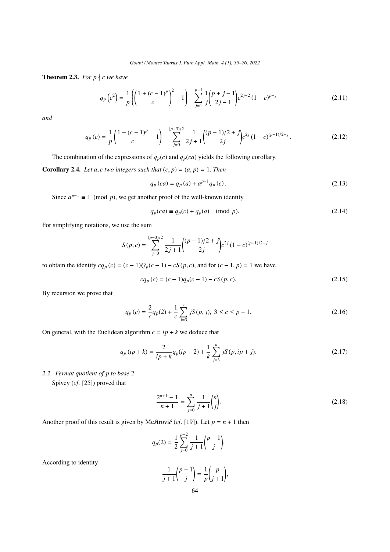<span id="page-5-0"></span>**Theorem 2.3.** *For p*  $\forall$  *c* we have

<span id="page-5-2"></span>
$$
q_p(c^2) = \frac{1}{p} \left( \left( \frac{1 + (c - 1)^p}{c} \right)^2 - 1 \right) - \sum_{j=1}^{p-1} \frac{1}{j} {p + j - 1 \choose 2j - 1} c^{2j - 2} (1 - c)^{p - j}
$$
(2.11)

*and*

<span id="page-5-1"></span>
$$
q_p(c) = \frac{1}{p} \left( \frac{1 + (c - 1)^p}{c} - 1 \right) - \sum_{j=0}^{(p-3)/2} \frac{1}{2j+1} \left( \frac{(p-1)/2 + j}{2j} c^{2j} (1-c)^{(p-1)/2 - j} \right).
$$
 (2.12)

The combination of the expressions of  $q_p(c)$  and  $q_p(ca)$  yields the following corollary.

**Corollary 2.4.** *Let a, c two integers such that*  $(c, p) = (a, p) = 1$ *. Then* 

$$
q_p\left(ca\right) = q_p\left(a\right) + a^{p-1}q_p\left(c\right). \tag{2.13}
$$

Since  $a^{p-1} \equiv 1 \pmod{p}$ , we get another proof of the well-known identity

$$
q_p(ca) \equiv q_p(c) + q_p(a) \pmod{p}.\tag{2.14}
$$

For simplifying notations, we use the sum

$$
S(p,c) = \sum_{j=0}^{(p-3)/2} \frac{1}{2j+1} \binom{(p-1)/2+j}{2j} c^{2j} (1-c)^{(p-1)/2-j}
$$

to obtain the identity  $cq_p(c) = (c-1)Q_p(c-1) - cS(p, c)$ , and for  $(c-1, p) = 1$  we have

$$
cq_p(c) = (c-1)q_p(c-1) - cS(p, c).
$$
\n(2.15)

By recursion we prove that

$$
q_p(c) = \frac{2}{c}q_p(2) + \frac{1}{c}\sum_{j=3}^{c} jS(p, j), \ 3 \le c \le p - 1.
$$
 (2.16)

On general, with the Euclidean algorithm  $c = ip + k$  we deduce that

$$
q_p(i p + k) = \frac{2}{ip + k} q_p(i p + 2) + \frac{1}{k} \sum_{j=3}^{k} jS(p, ip + j).
$$
 (2.17)

*2.2. Fermat quotient of p to base* 2

Spivey (*cf*. [\[25\]](#page-17-22)) proved that

$$
\frac{2^{n+1}-1}{n+1} = \sum_{j=0}^{n} \frac{1}{j+1} \binom{n}{j}.
$$
\n(2.18)

Another proof of this result is given by Me *štrović* (*cf.* [\[19\]](#page-17-8)). Let  $p = n + 1$  then

$$
q_p(2) = \frac{1}{2} \sum_{j=0}^{p-2} \frac{1}{j+1} {p-1 \choose j}.
$$

According to identity

$$
\frac{1}{j+1} \binom{p-1}{j} = \frac{1}{p} \binom{p}{j+1},
$$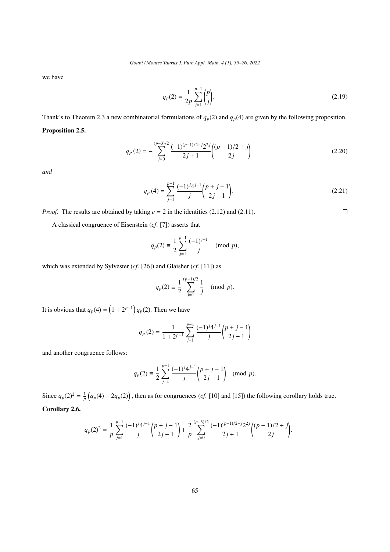we have

$$
q_p(2) = \frac{1}{2p} \sum_{j=1}^{p-1} {p \choose j}.
$$
 (2.19)

Thank's to Theorem [2.3](#page-5-0) a new combinatorial formulations of  $q_p(2)$  and  $q_p(4)$  are given by the following proposition.

# Proposition 2.5.

$$
q_p(2) = -\sum_{j=0}^{(p-3)/2} \frac{(-1)^{(p-1)/2-j} 2^{2j}}{2j+1} \binom{(p-1)/2+j}{2j} \tag{2.20}
$$

*and*

$$
q_p(4) = \sum_{j=1}^{p-1} \frac{(-1)^j 4^{j-1}}{j} {p+j-1 \choose 2j-1}.
$$
 (2.21)

 $\Box$ 

*Proof.* The results are obtained by taking  $c = 2$  in the identities [\(2.12\)](#page-5-1) and [\(2.11\)](#page-5-2).

A classical congruence of Eisenstein (*cf*. [\[7\]](#page-17-23)) asserts that

$$
q_p(2) \equiv \frac{1}{2} \sum_{j=1}^{p-1} \frac{(-1)^{j-1}}{j} \pmod{p},
$$

which was extended by Sylvester 
$$
(cf. [26])
$$
 and Glaisher  $(cf. [11])$  as

$$
q_p(2) \equiv \frac{1}{2} \sum_{j=1}^{(p-1)/2} \frac{1}{j} \pmod{p}.
$$

It is obvious that  $q_p(4) = (1 + 2^{p-1}) q_p(2)$ . Then we have

$$
q_p(2) = \frac{1}{1 + 2^{p-1}} \sum_{j=1}^{p-1} \frac{(-1)^j 4^{j-1}}{j} {p + j - 1 \choose 2j - 1}
$$

and another congruence follows:

$$
q_p(2) \equiv \frac{1}{2} \sum_{j=1}^{p-1} \frac{(-1)^j 4^{j-1}}{j} {p+j-1 \choose 2j-1} \pmod{p}.
$$

Since  $q_p(2)^2 = \frac{1}{p} (q_p(4) - 2q_p(2))$ , then as for congruences (*cf*. [\[10\]](#page-17-2) and [\[15\]](#page-17-12)) the following corollary holds true. Corollary 2.6.

$$
q_p(2)^2 = \frac{1}{p} \sum_{j=1}^{p-1} \frac{(-1)^j 4^{j-1}}{j} {p+j-1 \choose 2j-1} + \frac{2}{p} \sum_{j=0}^{(p-3)/2} \frac{(-1)^{(p-1)/2-j} 2^{2j}}{2j+1} {p-1)/2+j \choose 2j}.
$$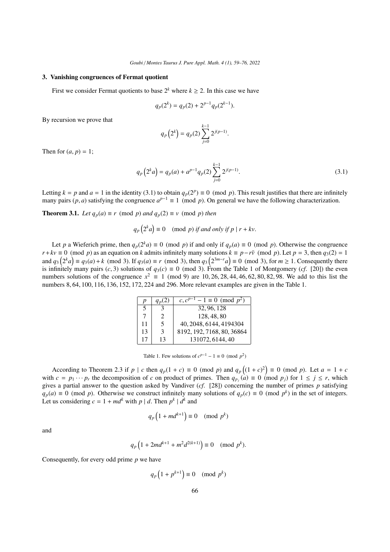#### 3. Vanishing congruences of Fermat quotient

First we consider Fermat quotients to base  $2^k$  where  $k \ge 2$ . In this case we have

$$
q_p(2^k) = q_p(2) + 2^{p-1}q_p(2^{k-1}).
$$

By recursion we prove that

$$
q_p\left(2^k\right) = q_p(2) \sum_{j=0}^{k-1} 2^{j(p-1)}.
$$

Then for  $(a, p) = 1$ ;

<span id="page-7-0"></span>
$$
q_p\left(2^k a\right) = q_p(a) + a^{p-1} q_p(2) \sum_{j=0}^{k-1} 2^{j(p-1)}.
$$
\n(3.1)

Letting  $k = p$  and  $a = 1$  in the identity [\(3.1\)](#page-7-0) to obtain  $q_p(2^p) \equiv 0 \pmod{p}$ . This result justifies that there are infinitely many pairs (*p*, *a*) satisfying the congruence  $a^{p-1} = 1 \pmod{p}$ . On general we have the follo many pairs (*p*, *a*) satisfying the congruence  $a^{p-1} \equiv 1 \pmod{p}$ . On general we have the following characterization.

**Theorem 3.1.** *Let*  $q_p(a) \equiv r \pmod{p}$  *and*  $q_p(2) \equiv v \pmod{p}$  *then* 

$$
q_p\left(2^k a\right) \equiv 0 \pmod{p} \text{ if and only if } p \mid r + kv.
$$

Let *p* a Wieferich prime, then  $q_p(2^k a) \equiv 0 \pmod{p}$  if and only if  $q_p(a) \equiv 0 \pmod{p}$ . Otherwise the congruence  $r + kv \equiv 0 \pmod{p}$  as an equation on *k* admits infinitely many solutions  $k \equiv p - r\bar{v} \pmod{p}$ . Let  $p = 3$ , then  $q_3(2) = 1$ and  $q_3(2^k a) \equiv q_3(a) + k \pmod{3}$ . If  $q_3(a) \equiv r \pmod{3}$ , then  $q_3(2^{3m-r}a) \equiv 0 \pmod{3}$ , for  $m \ge 1$ . Consequently there is infinitely many pairs  $(c, 3)$  solutions of  $a_2(c) \equiv 0 \pmod{3}$ . From the Table 1 of Montgomery  $(cf, [201]$ is infinitely many pairs (*c*, 3) solutions of  $q_3(c) \equiv 0 \pmod{3}$ . From the Table 1 of Montgomery (*cf.* [\[20\]](#page-17-25)) the even numbers solutions of the congruence  $x^2 \equiv 1 \pmod{9}$  are 10, 26, 28, 44, 46, 62, 80, 82, 98. We add to this list the numbers 8, 64, 100, 116, 136, 152, 172, 224 and 296. More relevant examples are given in the Table 1. numbers 8, <sup>64</sup>, <sup>100</sup>, <sup>116</sup>, <sup>136</sup>, <sup>152</sup>, <sup>172</sup>, 224 and 296. More relevant examples are given in the Table [1.](#page-7-1)

| p  |                         | $-1 \equiv 0 \pmod{p^2}$<br>$c, c^p$ |
|----|-------------------------|--------------------------------------|
| .5 |                         | 32, 96, 128                          |
|    |                         | 128, 48, 80                          |
| 11 | $\overline{\mathbf{5}}$ | 40, 2048, 6144, 4194304              |
| 13 | 3                       | 8192, 192, 7168, 80, 36864           |
| 17 | 13                      | 131072, 6144, 40                     |
|    |                         |                                      |

<span id="page-7-1"></span>Table 1. Few solutions of  $c^{p-1} - 1 \equiv 0 \pmod{p^2}$ 

According to Theorem [2.3](#page-5-0) if  $p \mid c$  then  $q_p(1 + c) \equiv 0 \pmod{p}$  and  $q_p((1 + c)^2) \equiv 0 \pmod{p}$ . Let  $a = 1 + c$ with  $c = p_1 \cdots p_r$  the decomposition of *c* on product of primes. Then  $q_{p_j}(a) \equiv 0 \pmod{p_j}$  for  $1 \le j \le r$ , which gives a partial answer to the question asked by Vandiver (*cf*. [\[28\]](#page-17-6)) concerning the number of primes *p* satisfying *q*<sub>*p*</sub>(*a*) ≡ 0 (mod *p*). Otherwise we construct infinitely many solutions of  $q_p(c) \equiv 0 \pmod{p^k}$  in the set of integers. Let us considering  $c = 1 + md^k$  with  $p \mid d$ . Then  $p^k \mid d^k$  and

$$
q_p\left(1 + md^{k+1}\right) \equiv 0 \pmod{p^k}
$$

and

$$
q_p\left(1 + 2md^{k+1} + m^2d^{2(k+1)}\right) \equiv 0 \pmod{p^k}.
$$

Consequently, for every odd prime *p* we have

$$
q_p\left(1 + p^{k+1}\right) \equiv 0 \pmod{p^k}
$$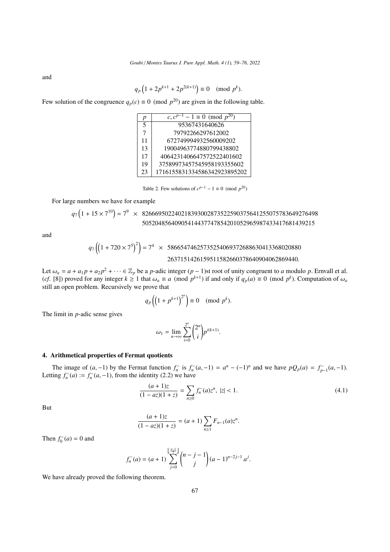and

$$
q_p\left(1+2p^{k+1}+2p^{2(k+1)}\right) \equiv 0 \pmod{p^k}.
$$

Few solution of the congruence  $q_p(c) \equiv 0 \pmod{p^{20}}$  are given in the following table.

| р                        | $c, c^{p-1} - 1 \equiv 0 \pmod{p^{20}}$ |
|--------------------------|-----------------------------------------|
| $\overline{\mathcal{L}}$ | 95367431640626                          |
| 7                        | 79792266297612002                       |
| 11                       | 672749994932560009202                   |
| 13                       | 19004963774880799438802                 |
| 17                       | 4064231406647572522401602               |
| 19                       | 37589973457545958193355602              |
| 23                       | 1716155831334586342923895202            |

Table 2. Few solutions of  $c^{p-1} - 1 \equiv 0 \pmod{p^{20}}$ 

For large numbers we have for example

$$
q_7(1+15\times7^{10}) = 7^9 \times 826669502240218393002873522590375641255075783649276498
$$
  
50520485640905414437747854201052965987433417681439215

and

$$
q_7\left(\left(1+720\times7^5\right)^2\right) = 7^4 \times 58665474625735254069372688630413368020880
$$
  
2637151426159511582660378640904062869440.

Let  $\omega_a = a + a_1 p + a_2 p^2 + \cdots \in \mathbb{Z}_p$  be a *p*-adic integer  $(p-1)$ st root of unity congruent to *a* modulo *p*. Ernvall et al.<br>(cf. [81) proved for any integer  $k > 1$  that  $\omega_i = a$  (mod  $n^{k+1}$ ) if and only if  $a_i(a) = 0$  (m (*cf*. [\[8\]](#page-17-26)) proved for any integer  $k \ge 1$  that  $\omega_a \equiv a \pmod{p^{k+1}}$  if and only if  $q_p(a) \equiv 0 \pmod{p^k}$ . Computation of  $\omega_a$  still an onen problem. Recursively we prove that still an open problem. Recursively we prove that

$$
q_p\left(\left(1+p^{k+1}\right)^{2^n}\right)\equiv 0\pmod{p^k}.
$$

The limit in *p*-adic sense gives

$$
\omega_1 = \lim_{n \to \infty} \sum_{i=0}^{2^n} {2^n \choose i} p^{i(k+1)}.
$$

## 4. Arithmetical properties of Fermat quotients

The image of  $(a, -1)$  by the Fermat function  $f_n^-$  is  $f_n^-(a, -1) = a^n - (-1)^n$  and we have  $pQ_p(a) = f_{p-1}^-(a, -1)$ . Letting  $f_n^-(a) := f_n^-(a, -1)$ , from the identity [\(2.2\)](#page-2-0) we have

$$
\frac{(a+1)z}{(1-az)(1+z)} = \sum_{n\geq 0} f_n^-(a)z^n, \ |z| < 1. \tag{4.1}
$$

But

$$
\frac{(a+1)z}{(1-az)(1+z)} = (a+1)\sum_{n\geq 1} F_{n-1}(a)z^n.
$$

Then  $f_0^-(a) = 0$  and

$$
f_n^{-}(a) = (a+1)\sum_{j=0}^{\left\lfloor \frac{n-1}{2} \right\rfloor} {n-j-1 \choose j} (a-1)^{n-2j-1} a^j.
$$

We have already proved the following theorem.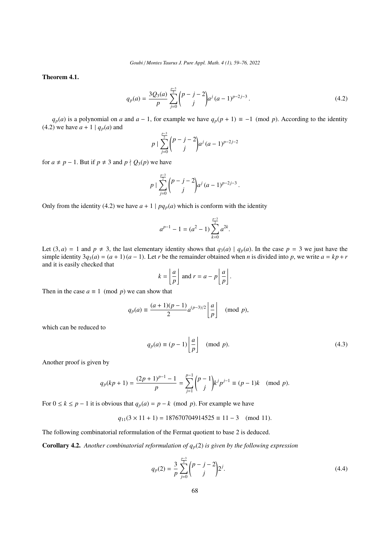*Goubi* / *Montes Taurus J. Pure Appl. Math. 4 (1), 59[–76,](#page-17-0) 2022*

<span id="page-9-1"></span>Theorem 4.1.

<span id="page-9-0"></span>
$$
q_p(a) = \frac{3Q_3(a)}{p} \sum_{j=0}^{\frac{p-3}{2}} {p-j-2 \choose j} a^j (a-1)^{p-2j-3}.
$$
 (4.2)

 $q_p(a)$  is a polynomial on *a* and  $a - 1$ , for example we have  $q_p(p + 1) \equiv -1 \pmod{p}$ . According to the identity [\(4.2\)](#page-9-0) we have  $a + 1 | q_p(a)$  and

$$
p \mid \sum_{j=0}^{\frac{p-3}{2}} \binom{p-j-2}{j} a^j (a-1)^{p-2j-2}
$$

for  $a \neq p - 1$ . But if  $p \neq 3$  and  $p \nmid Q_3(p)$  we have

$$
p \mid \sum_{j=0}^{\frac{p-3}{2}} {p-j-2 \choose j} a^j (a-1)^{p-2j-3}.
$$

Only from the identity [\(4.2\)](#page-9-0) we have  $a + 1 \mid pq_p(a)$  which is conform with the identity

$$
a^{p-1} - 1 = (a^2 - 1) \sum_{k=0}^{\frac{p-3}{2}} a^{2k}.
$$

Let  $(3, a) = 1$  and  $p \neq 3$ , the last elementary identity shows that  $q_3(a) | q_p(a)$ . In the case  $p = 3$  we just have the simple identity  $3q_3(a) = (a + 1)(a - 1)$ . Let *r* be the remainder obtained when *n* is divided into *p*, we write  $a = kp + r$ and it is easily checked that

$$
k = \left\lfloor \frac{a}{p} \right\rfloor \text{ and } r = a - p \left\lfloor \frac{a}{p} \right\rfloor
$$

Then in the case  $a \equiv 1 \pmod{p}$  we can show that

$$
q_p(a) \equiv \frac{(a+1)(p-1)}{2} a^{(p-3)/2} \left\lfloor \frac{a}{p} \right\rfloor \pmod{p},
$$

which can be reduced to

$$
q_p(a) \equiv (p-1) \left\lfloor \frac{a}{p} \right\rfloor \pmod{p}.
$$
 (4.3)

Another proof is given by

$$
q_p(kp+1) = \frac{(2p+1)^{p-1}-1}{p} = \sum_{j=1}^{p-1} {p-1 \choose j} k^j p^{j-1} \equiv (p-1)k \pmod{p}.
$$

For  $0 \le k \le p - 1$  it is obvious that  $q_p(a) = p - k \pmod{p}$ . For example we have

$$
q_{11}(3 \times 11 + 1) = 187670704914525 \equiv 11 - 3 \pmod{11}.
$$

The following combinatorial reformulation of the Fermat quotient to base 2 is deduced.

**Corollary 4.2.** Another combinatorial reformulation of  $q_p(2)$  is given by the following expression

$$
q_p(2) = \frac{3}{p} \sum_{j=0}^{\frac{p-3}{2}} {p-j-2 \choose j} 2^j.
$$
 (4.4)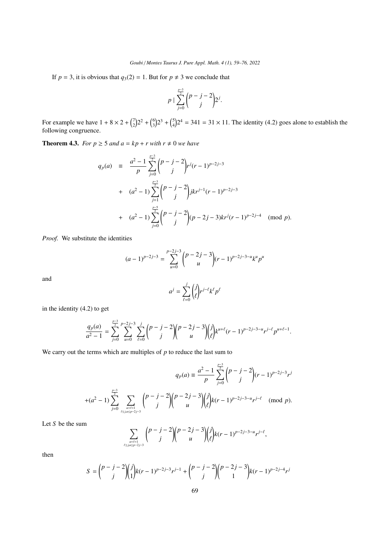If  $p = 3$ , it is obvious that  $q_3(2) = 1$ . But for  $p \neq 3$  we conclude that

$$
p\mid \sum_{j=0}^{\frac{p-3}{2}}\binom{p-j-2}{j}2^j.
$$

For example we have  $1 + 8 \times 2 + {7 \choose 2} 2^2 + {6 \choose 3} 2^3 + {5 \choose 4} 2^4 = 341 = 31 \times 11$ . The identity [\(4.2\)](#page-9-0) goes alone to establish the following congruence.

<span id="page-10-0"></span>**Theorem 4.3.** *For*  $p \ge 5$  *and*  $a = kp + r$  *with*  $r \ne 0$  *we have* 

$$
q_p(a) = \frac{a^2 - 1}{p} \sum_{j=0}^{\frac{p-3}{2}} {p-j-2 \choose j} r^j (r-1)^{p-2j-3}
$$
  
+ 
$$
(a^2 - 1) \sum_{j=1}^{\frac{p-3}{2}} {p-j-2 \choose j} jkr^{j-1} (r-1)^{p-2j-3}
$$
  
+ 
$$
(a^2 - 1) \sum_{j=0}^{\frac{p-5}{2}} {p-j-2 \choose j} (p-2j-3)kr^j (r-1)^{p-2j-4} \pmod{p}.
$$

Proof. We substitute the identities

$$
(a-1)^{p-2j-3} = \sum_{u=0}^{p-2j-3} {p-2j-3 \choose u} (r-1)^{p-2j-3-u} k^u p^u
$$

and

$$
a^j = \sum_{\ell=0}^j \binom{j}{\ell} r^{j-\ell} k^{\ell} p^{\ell}
$$

in the identity [\(4.2\)](#page-9-0) to get

$$
\frac{q_p(a)}{a^2-1} = \sum_{j=0}^{\frac{p-3}{2}} \sum_{u=0}^{p-2j-3} \sum_{\ell=0}^j {p-j-2 \choose j} {p-2j-3 \choose u} {j \choose \ell} k^{u+\ell} (r-1)^{p-2j-3-u} r^{j-\ell} p^{u+\ell-1}.
$$

We carry out the terms which are multiples of *p* to reduce the last sum to

$$
q_p(a) \equiv \frac{a^2 - 1}{p} \sum_{j=0}^{\frac{p-3}{2}} {p-j-2 \choose j} (r-1)^{p-2j-3} r^j
$$
  
 
$$
+ (a^2 - 1) \sum_{j=0}^{\frac{p-3}{2}} \sum_{\ell \le j, u \le p-2j-3} {p-j-2 \choose j} {j \choose u} k(r-1)^{p-2j-3-u} r^{j-\ell} \pmod{p}.
$$

Let *S* be the sum

$$
\sum_{\mu+l=1 \atop 0 \le \mu < p-2j-3} \binom{p-j-2}{j} \binom{p-2j-3}{u} \binom{j}{l} k(r-1)^{p-2j-3-u} r^{j-l},
$$

then

$$
S = {p-j-2 \choose j} {j \choose 1} k(r-1)^{p-2j-3} r^{j-1} + {p-j-2 \choose j} {p-2j-3 \choose 1} k(r-1)^{p-2j-4} r^j
$$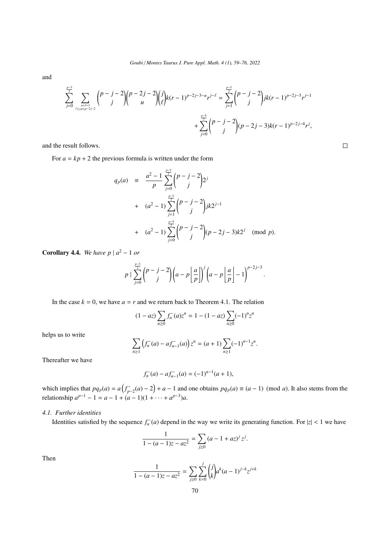and

$$
\sum_{j=0}^{\frac{p-3}{2}}\sum_{\stackrel{u+t=1}{\ell\le j, u\le p-2j-2}}{p-j-2\choose j}{p-2j-2\choose u}{j\choose \ell}k(r-1)^{p-2j-3-u}r^{j-\ell}=\sum_{j=1}^{\frac{p-3}{2}}{p-j-2\choose j}jk(r-1)^{p-2j-3}r^{j-1}+\sum_{j=0}^{\frac{p-5}{2}}{p-j-2\choose j}(p-2j-3)k(r-1)^{p-2j-4}r^j,
$$

and the result follows.

For  $a = kp + 2$  the previous formula is written under the form

$$
q_p(a) = \frac{a^2 - 1}{p} \sum_{j=0}^{\frac{p-3}{2}} {p-j-2 \choose j} 2^j
$$
  
+ 
$$
(a^2 - 1) \sum_{j=1}^{\frac{p-3}{2}} {p-j-2 \choose j} jk2^{j-1}
$$
  
+ 
$$
(a^2 - 1) \sum_{j=0}^{\frac{p-5}{2}} {p-j-2 \choose j} (p-2j-3)k2^j \pmod{p}.
$$

**Corollary 4.4.** We have  $p \mid a^2 - 1$  or

$$
p \mid \sum_{j=0}^{\frac{p-3}{2}} {p-j-2 \choose j} \left(a-p \left\lfloor \frac{a}{p} \right\rfloor \right)^j \left(a-p \left\lfloor \frac{a}{p} \right\rfloor - 1 \right)^{p-2j-3}.
$$

In the case  $k = 0$ , we have  $a = r$  and we return back to Theorem [4.1.](#page-9-1) The relation

$$
(1 - az) \sum_{n \ge 0} f_n^-(a) z^n = 1 - (1 - az) \sum_{n \ge 0} (-1)^n z^n
$$

helps us to write

$$
\sum_{n\geq 1} \left( f_n^-(a) - af_{n-1}^-(a) \right) z^n = (a+1) \sum_{n\geq 1} (-1)^{n-1} z^n.
$$

Thereafter we have

$$
f_n^-(a) - af_{n-1}^-(a) = (-1)^{n-1}(a+1),
$$

which implies that  $pq_p(a) = a(f_{p-2}^-(a) - 2) + a - 1$  and one obtains  $pq_p(a) \equiv (a-1) \pmod{a}$ . It also stems from the relationship  $a^{p-1} - 1 = a - 1 + (a - 1)(1 + \cdots + a^{p-3})a$ .

# *4.1. Further identities*

Identities satisfied by the sequence  $f_n^-(a)$  depend in the way we write its generating function. For  $|z| < 1$  we have

$$
\frac{1}{1 - (a - 1)z - az^2} = \sum_{j \ge 0} (a - 1 + az)^j z^j.
$$

Then

$$
\frac{1}{1 - (a - 1)z - az^2} = \sum_{j \ge 0} \sum_{k=0}^{j} {j \choose k} a^k (a - 1)^{j - k} z^{j + k}
$$

 $\Box$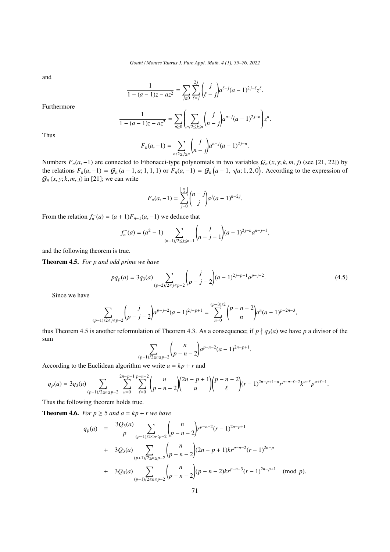and

$$
\frac{1}{1 - (a - 1)z - az^2} = \sum_{j \ge 0} \sum_{\ell = j}^{2j} {j \choose \ell - j} a^{\ell - j} (a - 1)^{2j - \ell} z^{\ell}.
$$

Furthermore

$$
\frac{1}{1 - (a-1)z - az^2} = \sum_{n\geq 0} \left( \sum_{n/2 \leq j \leq n} {j \choose n-j} a^{n-j} (a-1)^{2j-n} \right) z^n.
$$

Thus

$$
F_n(a,-1) = \sum_{n/2 \le j \le n} {j \choose n-j} a^{n-j} (a-1)^{2j-n}.
$$

Numbers  $F_n(a, -1)$  are connected to Fibonacci-type polynomials in two variables  $G_n(x, y; k, m, j)$  (see [\[21,](#page-17-27) [22\]](#page-17-28)) by<br>the relations  $F_n(a, -1) = G_n(a, 1, a, 1, 1)$  or  $F_n(a, -1) = G_n(a, 1, a, \overline{a}, 1, 2, 0)$ . According to the expression of the relations  $F_n(a, -1) = G_n(a-1, a; 1, 1, 1)$  or  $F_n(a, -1) = G_n(a-1, \sqrt{a}; 1, 2, 0)$ . According to the expression of  $G_n(x, y, k, m, i)$  in [211; we can write  $G_n(x, y; k, m, j)$  in [\[21\]](#page-17-27); we can write

$$
F_n(a, -1) = \sum_{j=0}^{\lfloor \frac{n}{2} \rfloor} {n-j \choose j} a^j (a-1)^{n-2j}.
$$

From the relation  $f_n^-(a) = (a+1)F_{n-1}(a,-1)$  we deduce that

$$
f_n^-(a) = (a^2 - 1) \sum_{(n-1)/2 \le j \le n-1} {j \choose n-j-1} (a-1)^{2j-n} a^{n-j-1},
$$

and the following theorem is true.

<span id="page-12-0"></span>Theorem 4.5. *For p and odd prime we have*

<span id="page-12-1"></span>
$$
pq_p(a) = 3q_3(a) \sum_{(p-2)/2 \le j \le p-2} {j \choose p-j-2} (a-1)^{2j-p+1} a^{p-j-2}.
$$
 (4.5)

 $\ddot{\phantom{a}}$ 

Since we have

$$
\sum_{(p-1)/2 \le j \le p-2} {j \choose p-j-2} a^{p-j-2} (a-1)^{2j-p+1} = \sum_{n=0}^{(p-3)/2} {p-n-2 \choose n} a^n (a-1)^{p-2n-3},
$$

thus Theorem [4.5](#page-12-0) is another reformulation of Theorem [4.3.](#page-10-0) As a consequence; if  $p \nmid q_3(a)$  we have  $p$  a divisor of the sum

$$
\sum_{(p-1)/2 \le n \le p-2} {n \choose p-n-2} a^{p-n-2} (a-1)^{2n-p+1}
$$

According to the Euclidean algorithm we write  $a = kp + r$  and

$$
q_p(a) = 3q_3(a) \sum_{(p-1)/2 \le n \le p-2} \sum_{u=0}^{2n-p+1} \sum_{\ell=0}^{p-n-2} {n \choose p-n-2} {2n-p+1 \choose u} {p-n-2 \choose \ell} (r-1)^{2n-p+1-u} r^{p-n-\ell-2} k^{u+\ell} p^{u+\ell-1}.
$$

Thus the following theorem holds true.

**Theorem 4.6.** *For*  $p \ge 5$  *and*  $a = kp + r$  *we have* 

$$
q_p(a) = \frac{3Q_3(a)}{p} \sum_{(p-1)/2 \le n \le p-2} {n \choose p-n-2} r^{p-n-2} (r-1)^{2n-p+1}
$$
  
+  $3Q_3(a) \sum_{(p+1)/2 \le n \le p-2} {n \choose p-n-2} (2n-p+1) k r^{p-n-2} (r-1)^{2n-p}$   
+  $3Q_3(a) \sum_{(p-1)/2 \le n \le p-2} {n \choose p-n-2} (p-n-2) k r^{p-n-3} (r-1)^{2n-p+1} \pmod{p}.$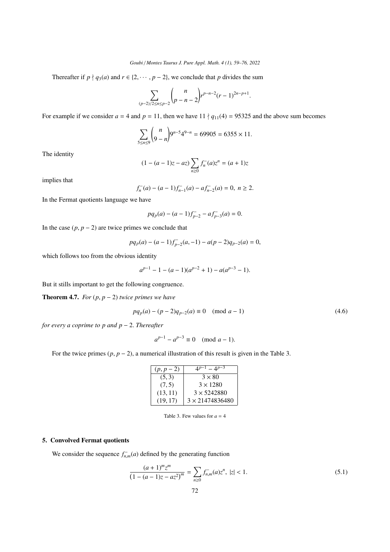Thereafter if  $p \nmid q_3(a)$  and  $r \in \{2, \dots, p-2\}$ , we conclude that *p* divides the sum

$$
\sum_{(p-2)/2 \le n \le p-2} {n \choose p-n-2} r^{p-n-2} (r-1)^{2n-p+1}.
$$

For example if we consider  $a = 4$  and  $p = 11$ , then we have  $11 \nmid q_{11}(4) = 95325$  and the above sum becomes

$$
\sum_{5 \le n \le 9} {n \choose 9-n} 9^{n-5} 4^{9-n} = 69905 = 6355 \times 11.
$$

The identity

$$
(1 - (a - 1)z - az) \sum_{n \ge 0} f_n^-(a) z^n = (a + 1)z
$$

implies that

$$
f_n^-(a) - (a-1)f_{n-1}^-(a) - af_{n-2}^-(a) = 0, \ n \ge 2.
$$

In the Fermat quotients language we have

$$
pq_p(a) - (a-1)f_{p-2}^- - af_{p-3}^-(a) = 0.
$$

In the case  $(p, p - 2)$  are twice primes we conclude that

$$
pq_p(a) - (a-1)f_{p-2}^-(a,-1) - a(p-2)q_{p-2}(a) = 0,
$$

which follows too from the obvious identity

$$
a^{p-1} - 1 - (a-1)(a^{p-2} + 1) - a(a^{p-3} - 1).
$$

But it stills important to get the following congruence.

**Theorem 4.7.** *For*  $(p, p - 2)$  *twice primes we have* 

$$
pq_p(a) - (p-2)q_{p-2}(a) \equiv 0 \pmod{a-1}
$$
\n(4.6)

*for every a coprime to p and p* <sup>−</sup> <sup>2</sup>. *Thereafter*

$$
a^{p-1} - a^{p-3} \equiv 0 \pmod{a-1}.
$$

For the twice primes (*p*, *<sup>p</sup>* <sup>−</sup> 2), a numerical illustration of this result is given in the Table [3.](#page-13-0)

| $(p, p - 2)$ | $-4^{p-3}$             |
|--------------|------------------------|
| (5, 3)       | $3 \times 80$          |
| (7, 5)       | $3 \times 1280$        |
| (13, 11)     | $3 \times 5242880$     |
| (19, 17)     | $3 \times 21474836480$ |
|              |                        |

<span id="page-13-0"></span>Table 3. Few values for  $a = 4$ 

# 5. Convolved Fermat quotients

We consider the sequence  $f_{n,m}^-(a)$  defined by the generating function

$$
\frac{(a+1)^m z^m}{(1-(a-1)z - az^2)^m} = \sum_{n\geq 0} f_{n,m}^-(a) z^n, \ |z| < 1. \tag{5.1}
$$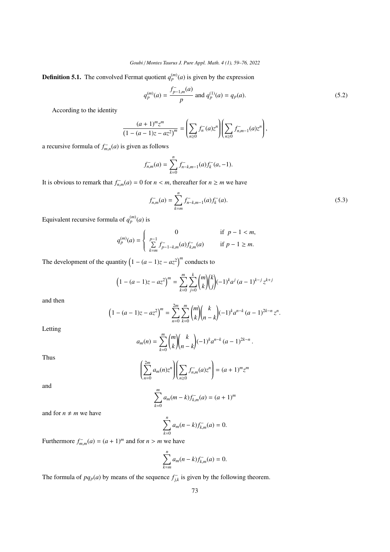**Definition 5.1.** The convolved Fermat quotient  $q_p^{(m)}(a)$  is given by the expression

$$
q_p^{(m)}(a) = \frac{f_{p-1,m}^-(a)}{p} \text{ and } q_p^{(1)}(a) = q_p(a). \tag{5.2}
$$

According to the identity

$$
\frac{(a+1)^m z^m}{(1-(a-1)z - az^2)^m} = \left(\sum_{n\geq 0} f_n^-(a) z^n\right) \left(\sum_{n\geq 0} f_{n,m-1}^-(a) z^n\right),
$$

a recursive formula of  $f_{m,n}^-(a)$  is given as follows

$$
f_{n,m}^-(a) = \sum_{k=0}^n f_{n-k,m-1}^-(a) f_k^-(a,-1).
$$

It is obvious to remark that  $f_{n,m}^-(a) = 0$  for  $n < m$ , thereafter for  $n \ge m$  we have

$$
f_{n,m}^{-}(a) = \sum_{k=m}^{n} f_{n-k,m-1}^{-}(a) f_k^{-}(a).
$$
 (5.3)

Equivalent recursive formula of  $q_p^{(m)}(a)$  is

$$
q_p^{(m)}(a) = \begin{cases} 0 & \text{if } p-1 < m, \\ \sum_{k=m}^{p-1} f_{p-1-k,m}^-(a) f_{k,m}^-(a) & \text{if } p-1 \ge m. \end{cases}
$$

The development of the quantity  $(1 - (a - 1)z - az^2)^m$  conducts to

$$
\left(1 - (a-1)z - az^2\right)^m = \sum_{k=0}^m \sum_{j=0}^k \binom{m}{k} \binom{k}{j} (-1)^k a^j (a-1)^{k-j} z^{k+j}
$$

and then

$$
\left(1 - (a-1)z - az^2\right)^m = \sum_{n=0}^{2m} \sum_{k=0}^m \binom{m}{k} \binom{k}{n-k} (-1)^k a^{n-k} (a-1)^{2k-n} z^n.
$$

Letting

$$
a_m(n) = \sum_{k=0}^m \binom{m}{k} \binom{k}{n-k} (-1)^k a^{n-k} (a-1)^{2k-n}.
$$

Thus

and

$$
\left(\sum_{n=0}^{2m} a_m(n) z^n \right) \left(\sum_{n\geq 0} f_{n,m}^-(a) z^n \right) = (a+1)^m z^m
$$

$$
\sum_{k=0}^{m} a_m (m-k) f_{k,m}^-(a) = (a+1)^m
$$

and for  $n \neq m$  we have

$$
\sum_{k=0}^{n} a_m (n-k) f_{k,m}^-(a) = 0.
$$

Furthermore  $f_{m,m}^-(a) = (a+1)^m$  and for  $n > m$  we have

$$
\sum_{k=m}^{n} a_m (n-k) f_{k,m}^-(a) = 0.
$$

The formula of  $pq_p(a)$  by means of the sequence  $f_{jk}^-$  is given by the following theorem.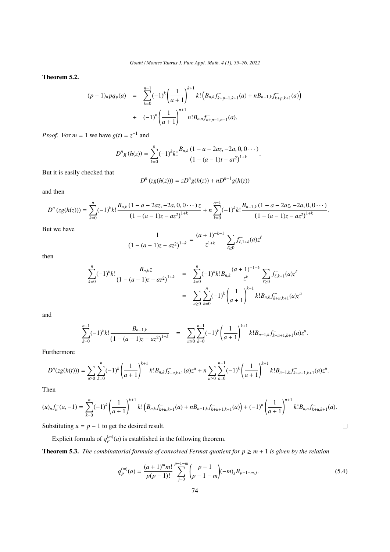Theorem 5.2.

$$
(p-1)_n pq_p(a) = \sum_{k=0}^{n-1} (-1)^k \left(\frac{1}{a+1}\right)^{k+1} k! \left(B_{n,k} f_{k+p-1,k+1}^-(a) + nB_{n-1,k} f_{k+p,k+1}^-(a)\right) + (-1)^n \left(\frac{1}{a+1}\right)^{n+1} n! B_{n,n} f_{n+p-1,n+1}^-(a).
$$

*Proof.* For  $m = 1$  we have  $g(t) = z^{-1}$  and

$$
D^{n}g(h(z)) = \sum_{k=0}^{n} (-1)^{k}k! \frac{B_{n,k} (1-a-2az,-2a,0,0 \cdots)}{(1-(a-1)t-at^2)^{1+k}}.
$$

But it is easily checked that

$$
D^{n}(zg(h(z))) = zD^{n}g(h(z)) + nD^{n-1}g(h(z))
$$

and then

$$
D^{n}(zg(h(z))) = \sum_{k=0}^{n} (-1)^{k} k! \frac{B_{n,k} (1-a-2az,-2a,0,0 \cdots)z}{(1-(a-1)z-az^{2})^{1+k}} + n \sum_{k=0}^{n-1} (-1)^{k} k! \frac{B_{n-1,k} (1-a-2az,-2a,0,0 \cdots)}{(1-(a-1)z-az^{2})^{1+k}}
$$

But we have

$$
\frac{1}{(1 - (a - 1)z - az^2)^{1+k}} = \frac{(a + 1)^{-k-1}}{z^{1+k}} \sum_{\ell \ge 0} f_{\ell, 1+k}^-(a) z^{\ell}
$$

then

$$
\sum_{k=0}^{n}(-1)^{k}k!\frac{B_{n,k}z}{(1-(a-1)z - az^{2})^{1+k}} = \sum_{k=0}^{n}(-1)^{k}k!B_{n,k}\frac{(a+1)^{-1-k}}{z^{k}}\sum_{\ell\geq 0}f_{\ell,k+1}^{-}(a)z^{\ell}
$$

$$
= \sum_{u\geq 0}\sum_{k=0}^{n}(-1)^{k}\left(\frac{1}{a+1}\right)^{k+1}k!B_{n,k}f_{k+u,k+1}^{-}(a)z^{u}
$$

and

$$
\sum_{k=0}^{n-1}(-1)^{k}k!\frac{B_{n-1,k}}{(1-(a-1)z-az^{2})^{1+k}} = \sum_{u\geq 0}\sum_{k=0}^{n-1}(-1)^{k}\left(\frac{1}{a+1}\right)^{k+1}k!B_{n-1,k}f_{k+u+1,k+1}^{-}(a)z^{u}
$$

Furthermore

$$
D^{n}(zg(h(t))) = \sum_{u\geq 0} \sum_{k=0}^{n} (-1)^{k} \left(\frac{1}{a+1}\right)^{k+1} k! B_{n,k} f_{k+u,k+1}^{-}(a) z^{u} + n \sum_{u\geq 0} \sum_{k=0}^{n-1} (-1)^{k} \left(\frac{1}{a+1}\right)^{k+1} k! B_{n-1,k} f_{k+u+1,k+1}^{-}(a) z^{u}.
$$

Then

$$
(u)_n f_u^-(a,-1) = \sum_{k=0}^n (-1)^k \left(\frac{1}{a+1}\right)^{k+1} k! \left(B_{n,k} f_{k+u,k+1}^-(a) + nB_{n-1,k} f_{k+u+1,k+1}^-(a)\right) + (-1)^n \left(\frac{1}{a+1}\right)^{n+1} k! B_{n,n} f_{k+u,k+1}^-(a).
$$

Substituting  $u = p - 1$  to get the desired result.

Explicit formula of  $q_p^{(m)}(a)$  is established in the following theorem.

**Theorem 5.3.** *The combinatorial formula of convolved Fermat quotient for*  $p \ge m + 1$  *is given by the relation* 

$$
q_p^{(m)}(a) = \frac{(a+1)^m m!}{p(p-1)!} \sum_{j=0}^{p-1-m} {p-1 \choose p-1-m} (-m)_j B_{p-1-m,j}.
$$
 (5.4)

 $\Box$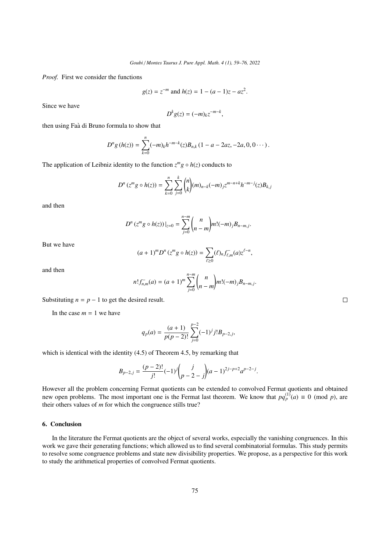*Proof.* First we consider the functions

$$
g(z) = z^{-m}
$$
 and  $h(z) = 1 - (a - 1)z - az^2$ .

Since we have

$$
D^k g(z) = (-m)_k z^{-m-k},
$$

then using Faà di Bruno formula to show that

$$
D^{n}g(h(z)) = \sum_{k=0}^{n} (-m)_{k}h^{-m-k}(z)B_{n,k}(1-a-2az,-2a,0,0...).
$$

The application of Leibniz identity to the function  $z^m g \circ h(z)$  conducts to

$$
D^{n}(z^{m}g \circ h(z)) = \sum_{k=0}^{n} \sum_{j=0}^{k} {n \choose k} (m)_{n-k} (-m)_{j} z^{m-n+k} h^{-m-j}(z) B_{k,j}
$$

and then

$$
D^{n}(z^{m}g \circ h(z))|_{z=0} = \sum_{j=0}^{n-m} {n \choose n-m} m!(-m)_{j}B_{n-m,j}.
$$

But we have

$$
(a+1)^m D^n (z^m g \circ h(z)) = \sum_{\ell \ge 0} (\ell)_n f_{\ell,m}^-(a) z^{\ell-n},
$$

and then

$$
n! f_{n,m}^-(a) = (a+1)^m \sum_{j=0}^{n-m} {n \choose n-m} m! (-m)_j B_{n-m,j}.
$$

Substituting  $n = p - 1$  to get the desired result.

In the case  $m = 1$  we have

$$
q_p(a) = \frac{(a+1)}{p(p-2)!} \sum_{j=0}^{p-2} (-1)^j j! B_{p-2,j},
$$

which is identical with the identity  $(4.5)$  of Theorem [4.5,](#page-12-0) by remarking that

$$
B_{p-2,j} = \frac{(p-2)!}{j!}(-1)^j {j \choose p-2-j} (a-1)^{2j-p+2} a^{p-2-j}.
$$

However all the problem concerning Fermat quotients can be extended to convolved Fermat quotients and obtained new open problems. The most important one is the Fermat last theorem. We know that  $pq_p^{(1)}(a) \equiv 0 \pmod{p}$ , are their others values of *m* for which the congruence stills true?

# 6. Conclusion

In the literature the Fermat quotients are the object of several works, especially the vanishing congruences. In this work we gave their generating functions; which allowed us to find several combinatorial formulas. This study permits to resolve some congruence problems and state new divisibility properties. We propose, as a perspective for this work to study the arithmetical properties of convolved Fermat quotients.

 $\Box$